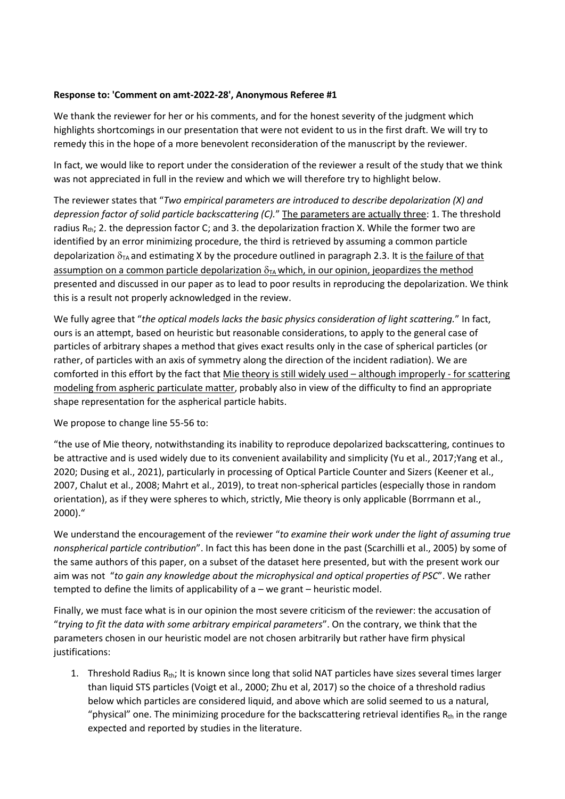## **Response to: 'Comment on amt-2022-28', Anonymous Referee #1**

We thank the reviewer for her or his comments, and for the honest severity of the judgment which highlights shortcomings in our presentation that were not evident to us in the first draft. We will try to remedy this in the hope of a more benevolent reconsideration of the manuscript by the reviewer.

In fact, we would like to report under the consideration of the reviewer a result of the study that we think was not appreciated in full in the review and which we will therefore try to highlight below.

The reviewer states that "*Two empirical parameters are introduced to describe depolarization (X) and depression factor of solid particle backscattering (C).*" The parameters are actually three: 1. The threshold radius  $R_{th}$ ; 2. the depression factor C; and 3. the depolarization fraction X. While the former two are identified by an error minimizing procedure, the third is retrieved by assuming a common particle depolarization  $\delta_{TA}$  and estimating X by the procedure outlined in paragraph 2.3. It is the failure of that assumption on a common particle depolarization  $\delta_{TA}$  which, in our opinion, jeopardizes the method presented and discussed in our paper as to lead to poor results in reproducing the depolarization. We think this is a result not properly acknowledged in the review.

We fully agree that "*the optical models lacks the basic physics consideration of light scattering.*" In fact, ours is an attempt, based on heuristic but reasonable considerations, to apply to the general case of particles of arbitrary shapes a method that gives exact results only in the case of spherical particles (or rather, of particles with an axis of symmetry along the direction of the incident radiation). We are comforted in this effort by the fact that Mie theory is still widely used – although improperly - for scattering modeling from aspheric particulate matter, probably also in view of the difficulty to find an appropriate shape representation for the aspherical particle habits.

We propose to change line 55-56 to:

"the use of Mie theory, notwithstanding its inability to reproduce depolarized backscattering, continues to be attractive and is used widely due to its convenient availability and simplicity (Yu et al., 2017;Yang et al., 2020; Dusing et al., 2021), particularly in processing of Optical Particle Counter and Sizers (Keener et al., 2007, Chalut et al., 2008; Mahrt et al., 2019), to treat non-spherical particles (especially those in random orientation), as if they were spheres to which, strictly, Mie theory is only applicable (Borrmann et al., 2000)."

We understand the encouragement of the reviewer "*to examine their work under the light of assuming true nonspherical particle contribution*". In fact this has been done in the past (Scarchilli et al., 2005) by some of the same authors of this paper, on a subset of the dataset here presented, but with the present work our aim was not "*to gain any knowledge about the microphysical and optical properties of PSC*". We rather tempted to define the limits of applicability of a – we grant – heuristic model.

Finally, we must face what is in our opinion the most severe criticism of the reviewer: the accusation of "*trying to fit the data with some arbitrary empirical parameters*". On the contrary, we think that the parameters chosen in our heuristic model are not chosen arbitrarily but rather have firm physical justifications:

1. Threshold Radius R<sub>th</sub>; It is known since long that solid NAT particles have sizes several times larger than liquid STS particles (Voigt et al., 2000; Zhu et al, 2017) so the choice of a threshold radius below which particles are considered liquid, and above which are solid seemed to us a natural, "physical" one. The minimizing procedure for the backscattering retrieval identifies  $R_{th}$  in the range expected and reported by studies in the literature.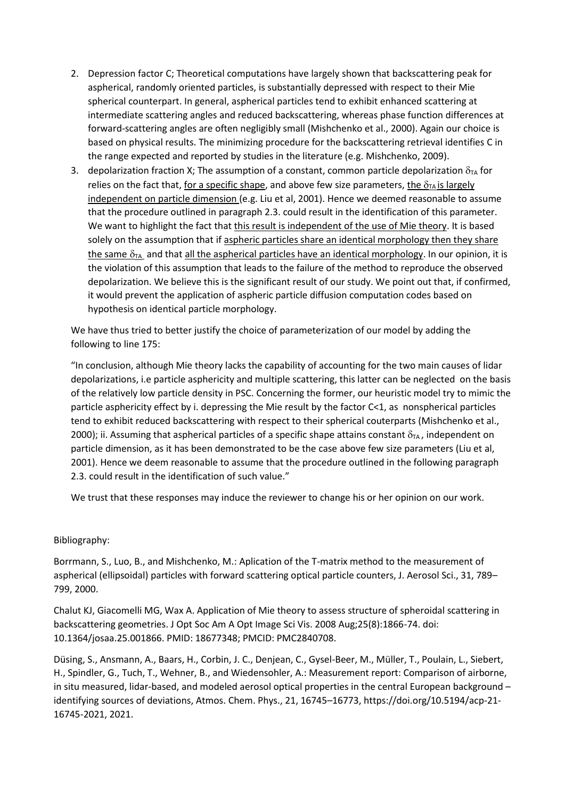- 2. Depression factor C; Theoretical computations have largely shown that backscattering peak for aspherical, randomly oriented particles, is substantially depressed with respect to their Mie spherical counterpart. In general, aspherical particles tend to exhibit enhanced scattering at intermediate scattering angles and reduced backscattering, whereas phase function differences at forward-scattering angles are often negligibly small (Mishchenko et al., 2000). Again our choice is based on physical results. The minimizing procedure for the backscattering retrieval identifies C in the range expected and reported by studies in the literature (e.g. Mishchenko, 2009).
- 3. depolarization fraction X; The assumption of a constant, common particle depolarization  $\delta_{TA}$  for relies on the fact that, for a specific shape, and above few size parameters, the  $\delta_{TA}$  is largely independent on particle dimension (e.g. Liu et al, 2001). Hence we deemed reasonable to assume that the procedure outlined in paragraph 2.3. could result in the identification of this parameter. We want to highlight the fact that this result is independent of the use of Mie theory. It is based solely on the assumption that if aspheric particles share an identical morphology then they share the same  $\delta_{TA}$  and that all the aspherical particles have an identical morphology. In our opinion, it is the violation of this assumption that leads to the failure of the method to reproduce the observed depolarization. We believe this is the significant result of our study. We point out that, if confirmed, it would prevent the application of aspheric particle diffusion computation codes based on hypothesis on identical particle morphology.

We have thus tried to better justify the choice of parameterization of our model by adding the following to line 175:

"In conclusion, although Mie theory lacks the capability of accounting for the two main causes of lidar depolarizations, i.e particle asphericity and multiple scattering, this latter can be neglected on the basis of the relatively low particle density in PSC. Concerning the former, our heuristic model try to mimic the particle asphericity effect by i. depressing the Mie result by the factor C<1, as nonspherical particles tend to exhibit reduced backscattering with respect to their spherical couterparts (Mishchenko et al., 2000); ii. Assuming that aspherical particles of a specific shape attains constant  $\delta_{TA}$ , independent on particle dimension, as it has been demonstrated to be the case above few size parameters (Liu et al, 2001). Hence we deem reasonable to assume that the procedure outlined in the following paragraph 2.3. could result in the identification of such value."

We trust that these responses may induce the reviewer to change his or her opinion on our work.

## Bibliography:

Borrmann, S., Luo, B., and Mishchenko, M.: Aplication of the T-matrix method to the measurement of aspherical (ellipsoidal) particles with forward scattering optical particle counters, J. Aerosol Sci., 31, 789– 799, 2000.

Chalut KJ, Giacomelli MG, Wax A. Application of Mie theory to assess structure of spheroidal scattering in backscattering geometries. J Opt Soc Am A Opt Image Sci Vis. 2008 Aug;25(8):1866-74. doi: 10.1364/josaa.25.001866. PMID: 18677348; PMCID: PMC2840708.

Düsing, S., Ansmann, A., Baars, H., Corbin, J. C., Denjean, C., Gysel-Beer, M., Müller, T., Poulain, L., Siebert, H., Spindler, G., Tuch, T., Wehner, B., and Wiedensohler, A.: Measurement report: Comparison of airborne, in situ measured, lidar-based, and modeled aerosol optical properties in the central European background – identifying sources of deviations, Atmos. Chem. Phys., 21, 16745–16773, https://doi.org/10.5194/acp-21- 16745-2021, 2021.